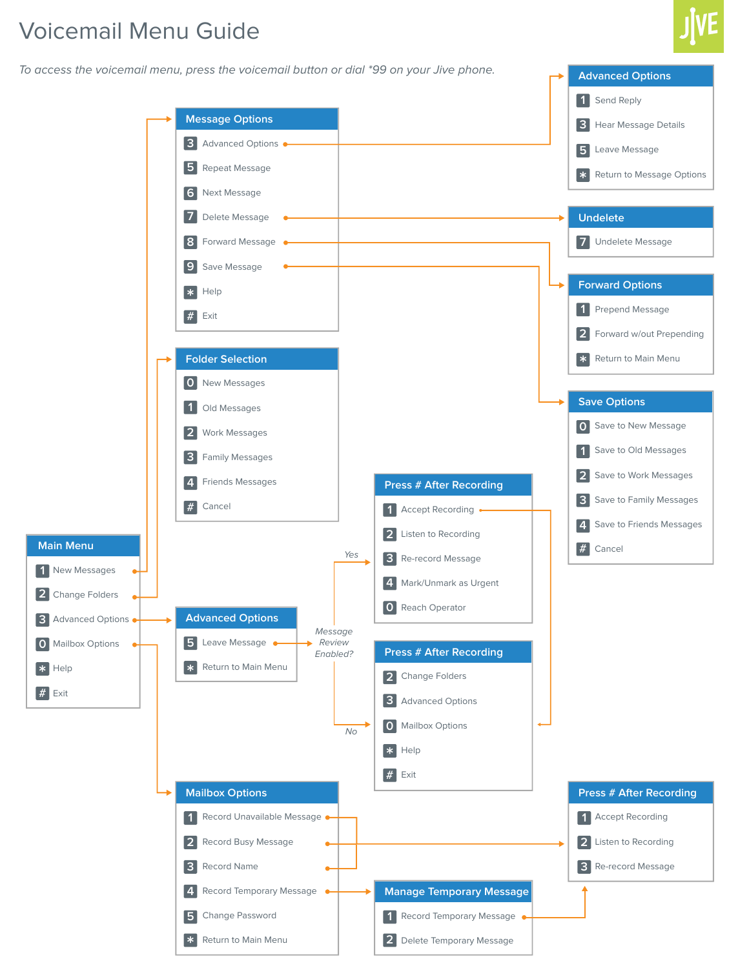# Voicemail Menu Guide

To access the voicemail menu, press the voicemail button or dial \*99 on your Jive phone.<br>**Advanced Options** 

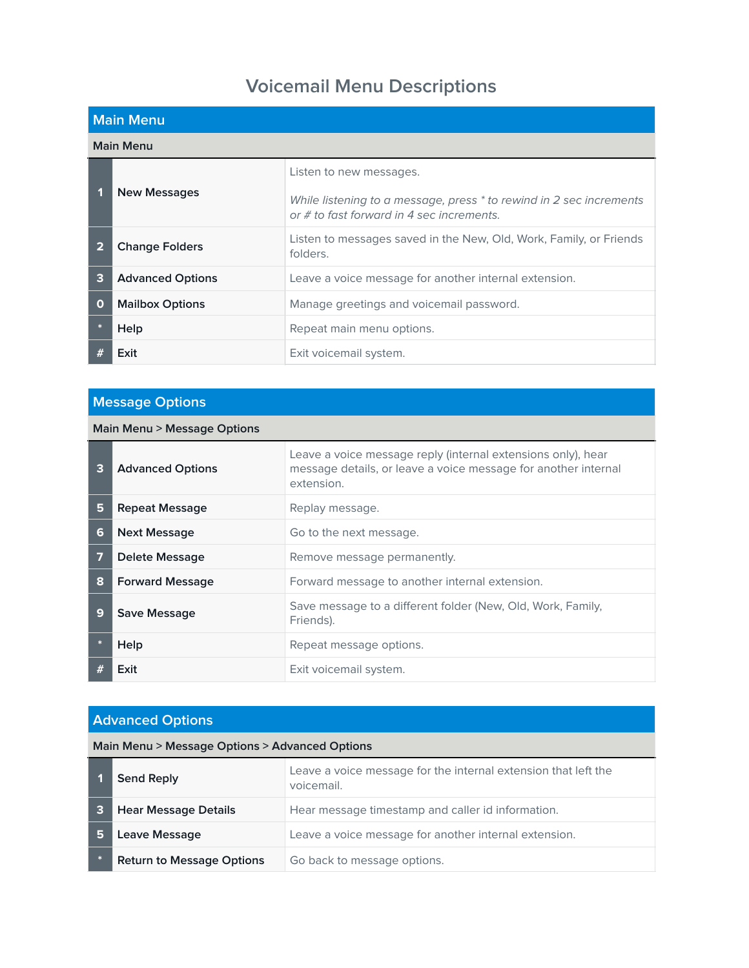# **Voicemail Menu Descriptions**

|             | <b>Main Menu</b>        |                                                                                                                    |  |
|-------------|-------------------------|--------------------------------------------------------------------------------------------------------------------|--|
|             | <b>Main Menu</b>        |                                                                                                                    |  |
|             |                         | Listen to new messages.                                                                                            |  |
|             | <b>New Messages</b>     | While listening to a message, press * to rewind in 2 sec increments<br>or $#$ to fast forward in 4 sec increments. |  |
| 2           | <b>Change Folders</b>   | Listen to messages saved in the New, Old, Work, Family, or Friends<br>folders.                                     |  |
| 3           | <b>Advanced Options</b> | Leave a voice message for another internal extension.                                                              |  |
| $\mathbf 0$ | <b>Mailbox Options</b>  | Manage greetings and voicemail password.                                                                           |  |
|             | Help                    | Repeat main menu options.                                                                                          |  |
|             | Exit                    | Exit voicemail system.                                                                                             |  |

### **Message Options**

### **Main Menu > Message Options**

| 3 | <b>Advanced Options</b> | Leave a voice message reply (internal extensions only), hear<br>message details, or leave a voice message for another internal<br>extension. |
|---|-------------------------|----------------------------------------------------------------------------------------------------------------------------------------------|
| 5 | <b>Repeat Message</b>   | Replay message.                                                                                                                              |
| 6 | <b>Next Message</b>     | Go to the next message.                                                                                                                      |
| 7 | Delete Message          | Remove message permanently.                                                                                                                  |
| 8 | <b>Forward Message</b>  | Forward message to another internal extension.                                                                                               |
| 9 | Save Message            | Save message to a different folder (New, Old, Work, Family,<br>Friends).                                                                     |
|   | Help                    | Repeat message options.                                                                                                                      |
|   | Exit                    | Exit voicemail system.                                                                                                                       |

#### **Advanced Options**

#### **Main Menu > Message Options > Advanced Options**

|    | <b>Send Reply</b>                | Leave a voice message for the internal extension that left the<br>voicemail. |
|----|----------------------------------|------------------------------------------------------------------------------|
|    | <b>Hear Message Details</b>      | Hear message timestamp and caller id information.                            |
| 15 | Leave Message                    | Leave a voice message for another internal extension.                        |
|    | <b>Return to Message Options</b> | Go back to message options.                                                  |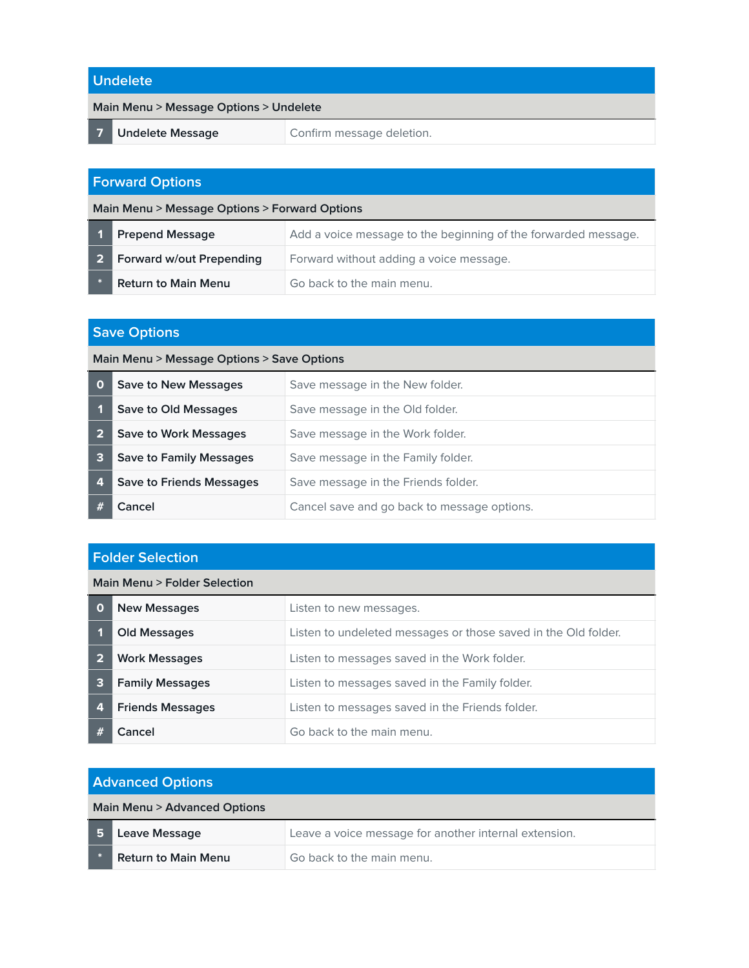#### **Undelete**

#### **Main Menu > Message Options > Undelete**

**7 Undelete Message Confirm message deletion.** 

### **Forward Options**

| Main Menu > Message Options > Forward Options |                            |                                                                |
|-----------------------------------------------|----------------------------|----------------------------------------------------------------|
|                                               | 1 Prepend Message          | Add a voice message to the beginning of the forwarded message. |
|                                               | 2 Forward w/out Prepending | Forward without adding a voice message.                        |

**Return to Main Menu Go back to the main menu.** 

## **Save Options**

|                | <b>UUVU UPUULU</b>                         |                                             |
|----------------|--------------------------------------------|---------------------------------------------|
|                | Main Menu > Message Options > Save Options |                                             |
| $\mathbf 0$    | <b>Save to New Messages</b>                | Save message in the New folder.             |
|                | Save to Old Messages                       | Save message in the Old folder.             |
| $\overline{2}$ | <b>Save to Work Messages</b>               | Save message in the Work folder.            |
| 3              | <b>Save to Family Messages</b>             | Save message in the Family folder.          |
| 4              | <b>Save to Friends Messages</b>            | Save message in the Friends folder.         |
|                | Cancel                                     | Cancel save and go back to message options. |

#### **Folder Selection**

#### **Main Menu > Folder Selection**

| O | <b>New Messages</b>     | Listen to new messages.                                        |
|---|-------------------------|----------------------------------------------------------------|
|   | <b>Old Messages</b>     | Listen to undeleted messages or those saved in the Old folder. |
|   | <b>Work Messages</b>    | Listen to messages saved in the Work folder.                   |
| 3 | <b>Family Messages</b>  | Listen to messages saved in the Family folder.                 |
| 4 | <b>Friends Messages</b> | Listen to messages saved in the Friends folder.                |
|   | Cancel                  | Go back to the main menu.                                      |

| <b>Advanced Options</b> |                              |                                                       |
|-------------------------|------------------------------|-------------------------------------------------------|
|                         | Main Menu > Advanced Options |                                                       |
| 5                       | Leave Message                | Leave a voice message for another internal extension. |
|                         | <b>Return to Main Menu</b>   | Go back to the main menu.                             |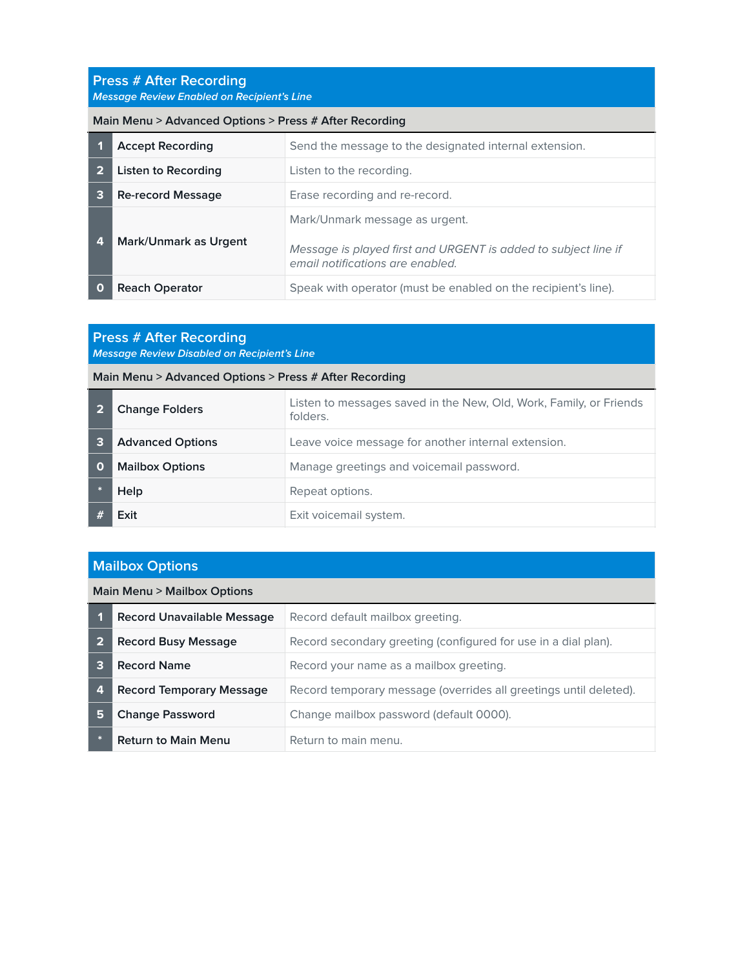#### **Press # After Recording** *Message Review Enabled on Recipient's Line*

#### **Main Menu > Advanced Options > Press # After Recording**

|   | <b>Accept Recording</b>  | Send the message to the designated internal extension.                                                                               |
|---|--------------------------|--------------------------------------------------------------------------------------------------------------------------------------|
|   | Listen to Recording      | Listen to the recording.                                                                                                             |
| 3 | <b>Re-record Message</b> | Erase recording and re-record.                                                                                                       |
| 4 | Mark/Unmark as Urgent    | Mark/Unmark message as urgent.<br>Message is played first and URGENT is added to subject line if<br>email notifications are enabled. |
|   | <b>Reach Operator</b>    | Speak with operator (must be enabled on the recipient's line).                                                                       |

# **Press # After Recording**

*Message Review Disabled on Recipient's Line*

#### **Main Menu > Advanced Options > Press # After Recording**

|   | <b>Change Folders</b>   | Listen to messages saved in the New, Old, Work, Family, or Friends<br>folders. |
|---|-------------------------|--------------------------------------------------------------------------------|
| з | <b>Advanced Options</b> | Leave voice message for another internal extension.                            |
| O | <b>Mailbox Options</b>  | Manage greetings and voicemail password.                                       |
|   | Help                    | Repeat options.                                                                |
|   | Exit                    | Exit voicemail system.                                                         |

# **Mailbox Options**

#### **Main Menu > Mailbox Options**

|   | <b>Record Unavailable Message</b> | Record default mailbox greeting.                                  |
|---|-----------------------------------|-------------------------------------------------------------------|
|   | <b>Record Busy Message</b>        | Record secondary greeting (configured for use in a dial plan).    |
|   | <b>Record Name</b>                | Record your name as a mailbox greeting.                           |
| 4 | <b>Record Temporary Message</b>   | Record temporary message (overrides all greetings until deleted). |
| 5 | <b>Change Password</b>            | Change mailbox password (default 0000).                           |
|   | <b>Return to Main Menu</b>        | Return to main menu.                                              |